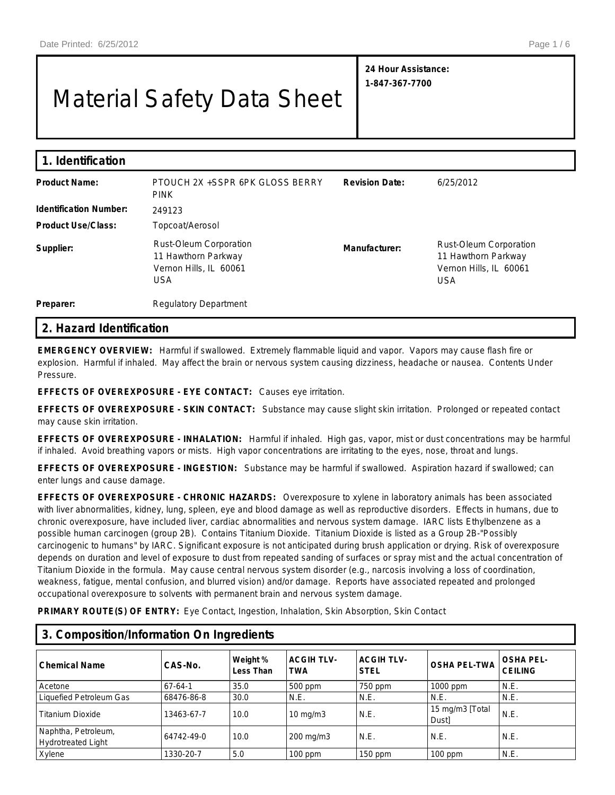# Material Safety Data Sheet

**24 Hour Assistance: 1-847-367-7700**

| 1. Identification             |                                                                                       |                       |                                                                                       |  |
|-------------------------------|---------------------------------------------------------------------------------------|-----------------------|---------------------------------------------------------------------------------------|--|
| <b>Product Name:</b>          | PTOUCH 2X + SSPR 6PK GLOSS BERRY<br><b>PINK</b>                                       | <b>Revision Date:</b> | 6/25/2012                                                                             |  |
| <b>Identification Number:</b> | 249123                                                                                |                       |                                                                                       |  |
| <b>Product Use/Class:</b>     | Topcoat/Aerosol                                                                       |                       |                                                                                       |  |
| Supplier:                     | Rust-Oleum Corporation<br>11 Hawthorn Parkway<br>Vernon Hills, IL 60061<br><b>USA</b> | Manufacturer:         | Rust-Oleum Corporation<br>11 Hawthorn Parkway<br>Vernon Hills, IL 60061<br><b>USA</b> |  |
| Preparer:                     | <b>Regulatory Department</b>                                                          |                       |                                                                                       |  |

# **2. Hazard Identification**

**EMERGENCY OVERVIEW:** Harmful if swallowed. Extremely flammable liquid and vapor. Vapors may cause flash fire or explosion. Harmful if inhaled. May affect the brain or nervous system causing dizziness, headache or nausea. Contents Under Pressure.

**EFFECTS OF OVEREXPOSURE - EYE CONTACT:** Causes eye irritation.

**EFFECTS OF OVEREXPOSURE - SKIN CONTACT:** Substance may cause slight skin irritation. Prolonged or repeated contact may cause skin irritation.

**EFFECTS OF OVEREXPOSURE - INHALATION:** Harmful if inhaled. High gas, vapor, mist or dust concentrations may be harmful if inhaled. Avoid breathing vapors or mists. High vapor concentrations are irritating to the eyes, nose, throat and lungs.

**EFFECTS OF OVEREXPOSURE - INGESTION:** Substance may be harmful if swallowed. Aspiration hazard if swallowed; can enter lungs and cause damage.

**EFFECTS OF OVEREXPOSURE - CHRONIC HAZARDS:** Overexposure to xylene in laboratory animals has been associated with liver abnormalities, kidney, lung, spleen, eye and blood damage as well as reproductive disorders. Effects in humans, due to chronic overexposure, have included liver, cardiac abnormalities and nervous system damage. IARC lists Ethylbenzene as a possible human carcinogen (group 2B). Contains Titanium Dioxide. Titanium Dioxide is listed as a Group 2B-"Possibly carcinogenic to humans" by IARC. Significant exposure is not anticipated during brush application or drying. Risk of overexposure depends on duration and level of exposure to dust from repeated sanding of surfaces or spray mist and the actual concentration of Titanium Dioxide in the formula. May cause central nervous system disorder (e.g., narcosis involving a loss of coordination, weakness, fatigue, mental confusion, and blurred vision) and/or damage. Reports have associated repeated and prolonged occupational overexposure to solvents with permanent brain and nervous system damage.

**PRIMARY ROUTE(S) OF ENTRY:** Eye Contact, Ingestion, Inhalation, Skin Absorption, Skin Contact

| 3. Composition/Information On Ingredients        |               |                              |                                 |                                  |                                 |                                    |  |  |
|--------------------------------------------------|---------------|------------------------------|---------------------------------|----------------------------------|---------------------------------|------------------------------------|--|--|
| <b>Chemical Name</b>                             | CAS-No.       | Weight %<br>Less Than        | <b>ACGIH TLV-</b><br><b>TWA</b> | <b>ACGIH TLV-</b><br><b>STEL</b> | <b>OSHA PEL-TWA</b>             | <b>OSHA PEL-</b><br><b>CEILING</b> |  |  |
| Acetone                                          | $67 - 64 - 1$ | 35.0                         | 500 ppm                         | 750 ppm                          | 1000 ppm                        | N.E.                               |  |  |
| Liquefied Petroleum Gas                          | 68476-86-8    | 30.0<br>N.E.<br>N.E.<br>N.E. |                                 | N.E.                             |                                 |                                    |  |  |
| <b>Titanium Dioxide</b>                          | 13463-67-7    | 10.0                         | $10 \text{ mg/m}$               | N.E.                             | 15 mg/m3 [Total<br><b>Dustl</b> | N.E.                               |  |  |
| Naphtha, Petroleum,<br><b>Hydrotreated Light</b> | 64742-49-0    | 10.0                         | 200 mg/m3                       | N.E.                             | N.E.                            | N.E.                               |  |  |
| Xylene                                           | 1330-20-7     | 5.0                          | $100$ ppm                       | $150$ ppm                        | $100$ ppm                       | N.E.                               |  |  |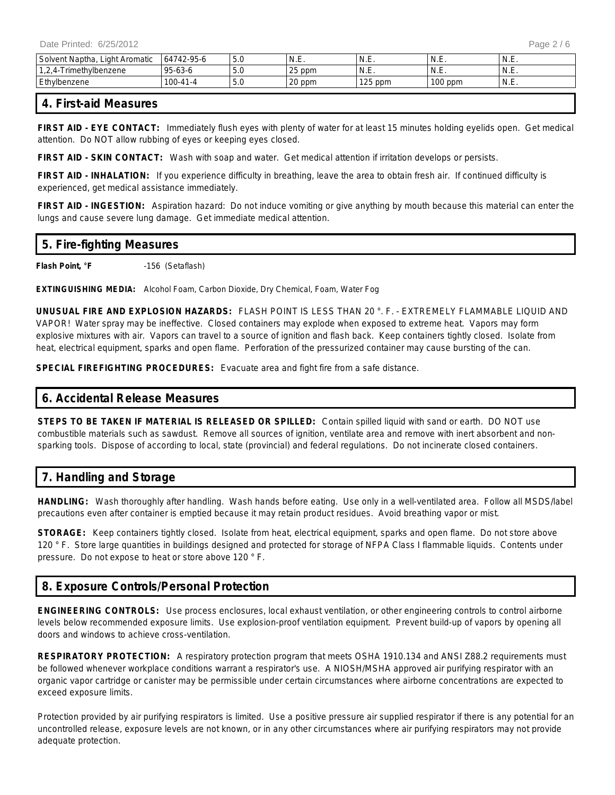Date Printed: 6/25/2012

| Solvent<br><sup>+</sup> Naptha.<br>Liaht Aromatic<br>∟ | 64742-95-6                              | 5.0 | N.E.                 | N.E.      | N<br>. _ ۱۰    | N.E. |
|--------------------------------------------------------|-----------------------------------------|-----|----------------------|-----------|----------------|------|
| I rimethvlbenzene<br>$\prime$ $\sim$                   | $95-63-6$                               | 5.0 | つに<br>25 ppm         | N.E.      | N<br>. _ ۱۰    | N.E. |
| Ethylbenzene                                           | 100<br>$\overline{1}$<br>1-4 I -4<br>vv | 5.0 | $\cap$<br>ppm<br>ZU. | $125$ ppm | 100<br>100 ppm | N.E. |

## **4. First-aid Measures**

**FIRST AID - EYE CONTACT:** Immediately flush eyes with plenty of water for at least 15 minutes holding eyelids open. Get medical attention. Do NOT allow rubbing of eyes or keeping eyes closed.

**FIRST AID - SKIN CONTACT:** Wash with soap and water. Get medical attention if irritation develops or persists.

FIRST AID - INHALATION: If you experience difficulty in breathing, leave the area to obtain fresh air. If continued difficulty is experienced, get medical assistance immediately.

**FIRST AID - INGESTION:** Aspiration hazard: Do not induce vomiting or give anything by mouth because this material can enter the lungs and cause severe lung damage. Get immediate medical attention.

## **5. Fire-fighting Measures**

**Flash Point, °F** -156 (Setaflash)

**EXTINGUISHING MEDIA:** Alcohol Foam, Carbon Dioxide, Dry Chemical, Foam, Water Fog

**UNUSUAL FIRE AND EXPLOSION HAZARDS:** FLASH POINT IS LESS THAN 20 °. F. - EXTREMELY FLAMMABLE LIQUID AND VAPOR! Water spray may be ineffective. Closed containers may explode when exposed to extreme heat. Vapors may form explosive mixtures with air. Vapors can travel to a source of ignition and flash back. Keep containers tightly closed. Isolate from heat, electrical equipment, sparks and open flame. Perforation of the pressurized container may cause bursting of the can.

**SPECIAL FIREFIGHTING PROCEDURES:** Evacuate area and fight fire from a safe distance.

## **6. Accidental Release Measures**

**STEPS TO BE TAKEN IF MATERIAL IS RELEASED OR SPILLED:** Contain spilled liquid with sand or earth. DO NOT use combustible materials such as sawdust. Remove all sources of ignition, ventilate area and remove with inert absorbent and nonsparking tools. Dispose of according to local, state (provincial) and federal regulations. Do not incinerate closed containers.

# **7. Handling and Storage**

**HANDLING:** Wash thoroughly after handling. Wash hands before eating. Use only in a well-ventilated area. Follow all MSDS/label precautions even after container is emptied because it may retain product residues. Avoid breathing vapor or mist.

**STORAGE:** Keep containers tightly closed. Isolate from heat, electrical equipment, sparks and open flame. Do not store above 120 ° F. Store large quantities in buildings designed and protected for storage of NFPA Class I flammable liquids. Contents under pressure. Do not expose to heat or store above 120 ° F.

# **8. Exposure Controls/Personal Protection**

**ENGINEERING CONTROLS:** Use process enclosures, local exhaust ventilation, or other engineering controls to control airborne levels below recommended exposure limits. Use explosion-proof ventilation equipment. Prevent build-up of vapors by opening all doors and windows to achieve cross-ventilation.

**RESPIRATORY PROTECTION:** A respiratory protection program that meets OSHA 1910.134 and ANSI Z88.2 requirements must be followed whenever workplace conditions warrant a respirator's use. A NIOSH/MSHA approved air purifying respirator with an organic vapor cartridge or canister may be permissible under certain circumstances where airborne concentrations are expected to exceed exposure limits.

Protection provided by air purifying respirators is limited. Use a positive pressure air supplied respirator if there is any potential for an uncontrolled release, exposure levels are not known, or in any other circumstances where air purifying respirators may not provide adequate protection.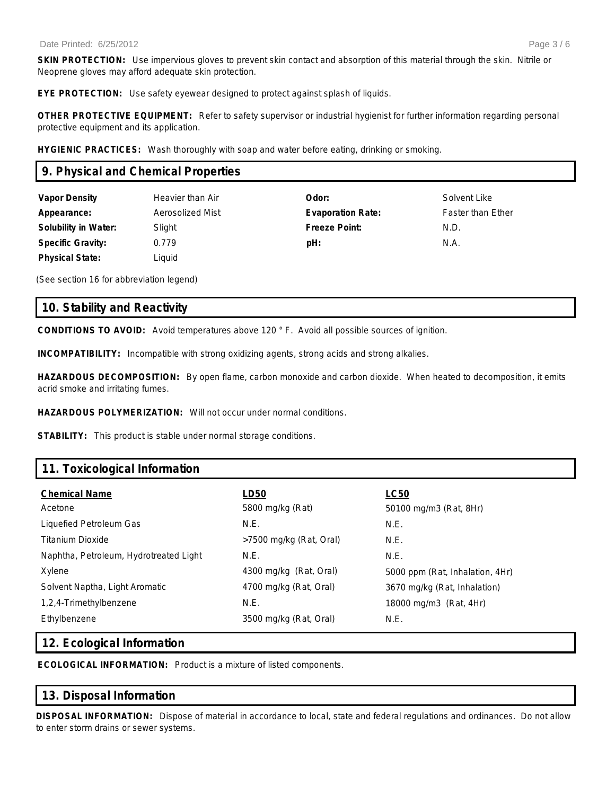**SKIN PROTECTION:** Use impervious gloves to prevent skin contact and absorption of this material through the skin. Nitrile or Neoprene gloves may afford adequate skin protection.

**EYE PROTECTION:** Use safety eyewear designed to protect against splash of liquids.

**OTHER PROTECTIVE EQUIPMENT:** Refer to safety supervisor or industrial hygienist for further information regarding personal protective equipment and its application.

**HYGIENIC PRACTICES:** Wash thoroughly with soap and water before eating, drinking or smoking.

## **9. Physical and Chemical Properties**

**Vapor Density Heavier than Air <b>Color: Odor:** Solvent Like **Appearance:** Aerosolized Mist **Evaporation Rate:** Faster than Ether **Solubility in Water:** Slight **Freeze Point:** N.D. **Specific Gravity:** 0.779 **pH:** N.A. **Physical State:** Liquid

(See section 16 for abbreviation legend)

## **10. Stability and Reactivity**

**CONDITIONS TO AVOID:** Avoid temperatures above 120 ° F. Avoid all possible sources of ignition.

**INCOMPATIBILITY:** Incompatible with strong oxidizing agents, strong acids and strong alkalies.

**HAZARDOUS DECOMPOSITION:** By open flame, carbon monoxide and carbon dioxide. When heated to decomposition, it emits acrid smoke and irritating fumes.

**HAZARDOUS POLYMERIZATION:** Will not occur under normal conditions.

**STABILITY:** This product is stable under normal storage conditions.

## **11. Toxicological Information**

| <b>Chemical Name</b>                   | <b>LD50</b>             | <b>LC50</b>                     |
|----------------------------------------|-------------------------|---------------------------------|
| Acetone                                | 5800 mg/kg (Rat)        | 50100 mg/m3 (Rat, 8Hr)          |
| Liquefied Petroleum Gas                | N.E.                    | N.E.                            |
| <b>Titanium Dioxide</b>                | >7500 mg/kg (Rat, Oral) | N.E.                            |
| Naphtha, Petroleum, Hydrotreated Light | N.E.                    | N.E.                            |
| Xylene                                 | 4300 mg/kg (Rat, Oral)  | 5000 ppm (Rat, Inhalation, 4Hr) |
| Solvent Naptha, Light Aromatic         | 4700 mg/kg (Rat, Oral)  | 3670 mg/kg (Rat, Inhalation)    |
| 1,2,4-Trimethylbenzene                 | N.E.                    | 18000 mg/m3 (Rat, 4Hr)          |
| Ethylbenzene                           | 3500 mg/kg (Rat, Oral)  | N.E.                            |

## **12. Ecological Information**

**ECOLOGICAL INFORMATION:** Product is a mixture of listed components.

# **13. Disposal Information**

**DISPOSAL INFORMATION:** Dispose of material in accordance to local, state and federal regulations and ordinances. Do not allow to enter storm drains or sewer systems.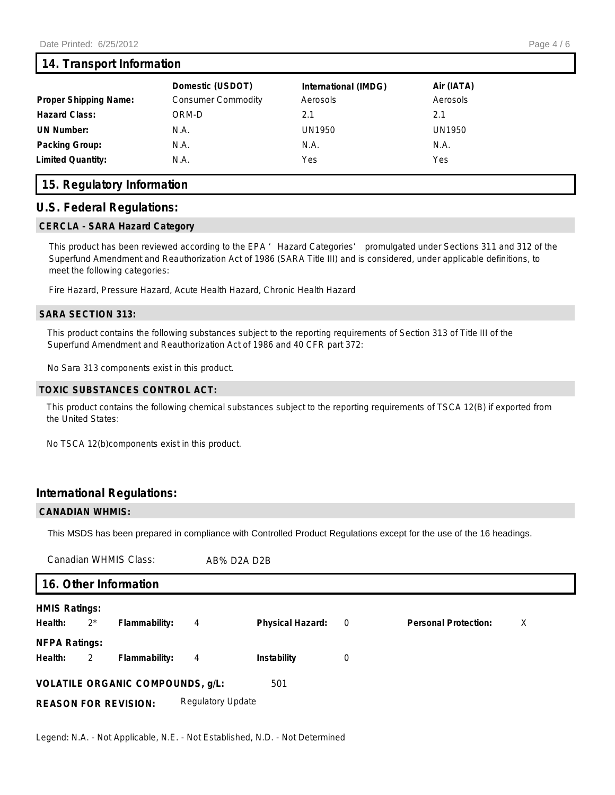#### **14. Transport Information**

|                              | Domestic (USDOT)          | International (IMDG) | Air (IATA) |
|------------------------------|---------------------------|----------------------|------------|
| <b>Proper Shipping Name:</b> | <b>Consumer Commodity</b> | Aerosols             | Aerosols   |
| <b>Hazard Class:</b>         | ORM-D                     | 2.1                  | 2.1        |
| <b>UN Number:</b>            | N.A.                      | UN1950               | UN1950     |
| <b>Packing Group:</b>        | N.A.                      | N.A.                 | N.A.       |
| <b>Limited Quantity:</b>     | N.A.                      | <b>Yes</b>           | Yes        |

# **15. Regulatory Information**

#### **U.S. Federal Regulations:**

#### **CERCLA - SARA Hazard Category**

This product has been reviewed according to the EPA 'Hazard Categories' promulgated under Sections 311 and 312 of the Superfund Amendment and Reauthorization Act of 1986 (SARA Title III) and is considered, under applicable definitions, to meet the following categories:

Fire Hazard, Pressure Hazard, Acute Health Hazard, Chronic Health Hazard

#### **SARA SECTION 313:**

This product contains the following substances subject to the reporting requirements of Section 313 of Title III of the Superfund Amendment and Reauthorization Act of 1986 and 40 CFR part 372:

No Sara 313 components exist in this product.

#### **TOXIC SUBSTANCES CONTROL ACT:**

This product contains the following chemical substances subject to the reporting requirements of TSCA 12(B) if exported from the United States:

No TSCA 12(b)components exist in this product.

## **International Regulations:**

#### **CANADIAN WHMIS:**

This MSDS has been prepared in compliance with Controlled Product Regulations except for the use of the 16 headings.

Canadian WHMIS Class: AB% D2A D2B

## **16. Other Information**

| <b>HMIS Ratings:</b><br>Health: | $2^*$          | Flammability:                           | $\overline{4}$    | <b>Physical Hazard:</b> | $\overline{0}$ | <b>Personal Protection:</b> | Х |
|---------------------------------|----------------|-----------------------------------------|-------------------|-------------------------|----------------|-----------------------------|---|
| <b>NFPA Ratings:</b><br>Health: | $\overline{2}$ | Flammability:                           | $\overline{4}$    | Instability             | 0              |                             |   |
|                                 |                | <b>VOLATILE ORGANIC COMPOUNDS, g/L:</b> |                   | 501                     |                |                             |   |
|                                 |                | <b>REASON FOR REVISION:</b>             | Regulatory Update |                         |                |                             |   |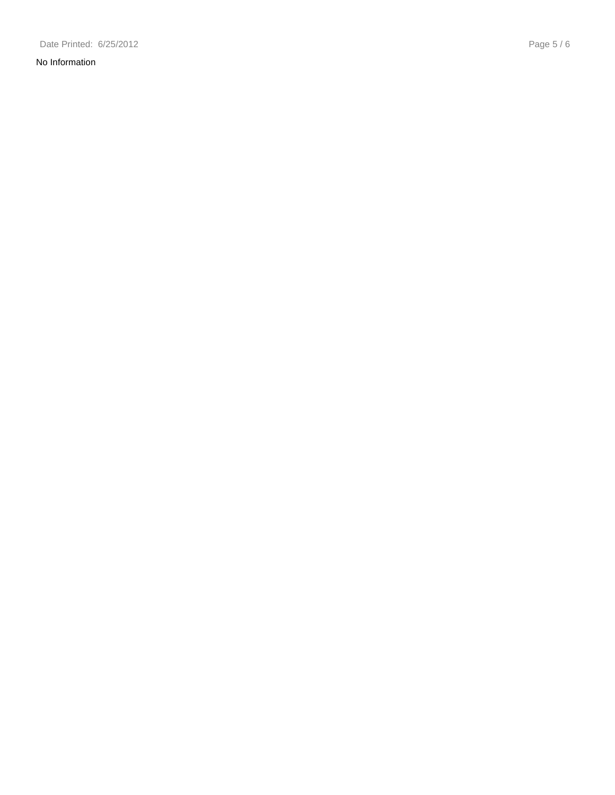#### No Information